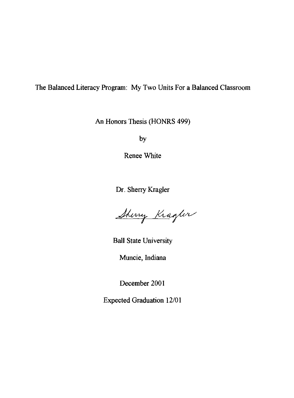#### The Balanced Literacy Program: My Two Units For a Balanced Classroom

An Honors Thesis (HONRS 499)

by

Renee White

Dr. Sherry Kragler

Shirry Kragter

Ball State University

Muncie, Indiana

December 2001

Expected Graduation 12/01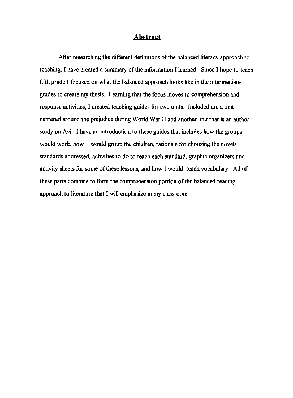#### **Abstract**

After researching the different definitions of the balanced literacy approach to teaching, I have created a summary of the information I learned. Since I hope to teach fifth grade I focused on what the balanced approach looks like in the intermediate grades to create my thesis. Learning that the focus moves to comprehension and response activities, I created teaching guides for two units. Included are a unit centered around the prejudice during World War II and another unit that is an author study on Avi. I have an introduction to these guides that includes how the groups would work, how I would group the children, rationale for choosing the novels, standards addressed, activities to do to teach each standard, graphic organizers and activity sheets for some of these lessons, and how I would teach vocabulary. All of these parts combine to form the comprehension portion of the balanced reading approach to literature that I will emphasize in my classroom.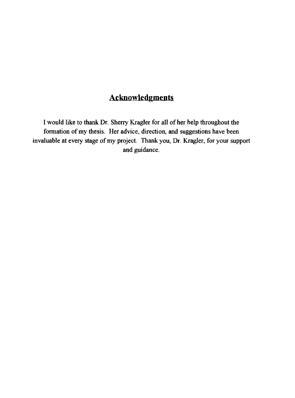## **Acknowledgments**

I would like to thank Dr. Sheny Kragler for all of her help throughout the formation of my thesis. Her advice, direction, and suggestions have been invaluable at every stage of my project. Thank you, Dr. Kragler, for your support and guidance.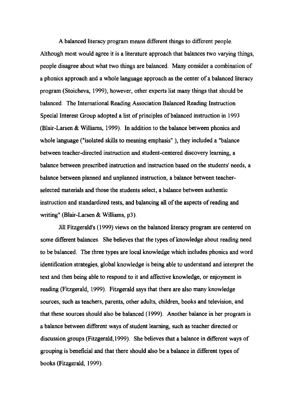A balanced literacy program means different things to different people. Although most would agree it is a literature approach that balances two varying things, people disagree about what two things are balanced. Many consider a combination of a phonics approach and a whole language approach as the center of a balanced literacy program (Stoicheva, 1999); however, other experts list many things that should be balanced. The International Reading Association Balanced Reading Instruction Special Interest Group adopted a list of principles of balanced instruction in 1993 (Blair-Larsen & Williams, 1999). In addition to the balance between phonics and whole language ("isolated skills to meaning emphasis" ), they included a "balance between teacher-directed instruction and student-centered discovery learning, a balance between prescribed instruction and instruction based on the students' needs, a balance between planned and unplanned instruction, a balance between teacherselected materials and those the students select, a balance between authentic instruction and standardized tests, and balancing all of the aspects of reading and writing" (Blair-Larsen & Williams, p3).

Jill Fitzgerald's (1999) views on the balanced literacy program are centered on some different balances. She believes that the types of knowledge about reading need to be balanced. The three types are local knowledge which includes phonics and word identification strategies, global knowledge is being able to understand and interpret the text and then being able to respond to it and affective knowledge, or enjoyment in reading (Fitzgerald, 1999). Fitzgerald says that there are also many knowledge sources, such as teachers, parents, other adults, children, books and television, and that these sources should also be balanced (1999). Another balance in her program is a balance between different ways of student learning, such as teacher directed or discussion groups (Fitzgerald, 1999). She believes that a balance in different ways of grouping is beneficial and that there should also be a balance in different types of books (Fitzgerald, 1999).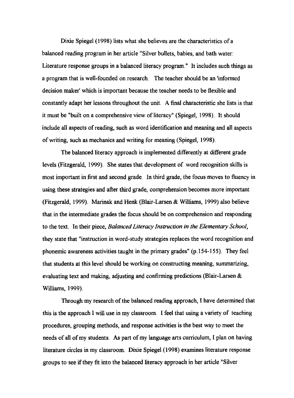Dixie Spiegel (1998) lists what she believes are the characteristics of a balanced reading program in her article" Silver bullets, babies, and bath water: Literature response groups in a balanced literacy program." It includes such things as a program that is well-founded on research. The teacher should be an 'informed decision maker' which is important because the teacher needs to be flexible and constantly adapt her lessons throughout the unit. A final characteristic she lists is that it must be "built on a comprehensive view of literacy" (Spiegel, 1998). It should include all aspects of reading, such as word identification and meaning and all aspects of writing, such as mechanics and writing for meaning (Spiegel, 1998).

The balanced literacy approach is implemented differently at different grade levels (Fitzgerald, 1999). She states that development of word recognition skills is most important in first and second grade. In third grade, the focus moves to fluency in using these strategies and after third grade, comprehension becomes more important (Fitzgerald, 1999). Marinak and Henk (Blair-Larsen & Williams, 1999) also believe that in the intermediate grades the focus should be on comprehension and responding to the text. In their piece, *Balanced Literacy Instruction in the Elementary School,*  they state that "instruction in word-study strategies replaces the word recognition and phonemic awareness activities taught in the primary grades" (p.154-155). They feel that students at this level should be working on constructing meaning, summarizing, evaluating text and making, adjusting and confirming predictions (Blair-Larsen & Williams, 1999).

Through my research of the balanced reading approach, I have determined that this is the approach I will use in my classroom. I feel that using a variety of teaching procedures, grouping methods, and response activities is the best way to meet the needs of all of my students. As part of my language arts curriculum, I plan on having literature circles in my classroom. Dixie Spiegel (1998) examines literature response groups to see if they fit into the balanced literacy approach in her article "Silver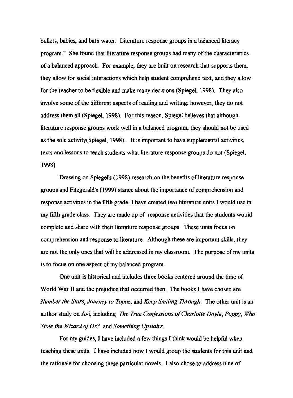bullets, babies, and bath water: Literature response groups in a balanced literacy program." She found that literature response groups had many of the characteristics of a balanced approach. For example, they are built on research that supports them, they allow for social interactions which help student comprehend text, and they allow for the teacher to be flexible and make many decisions (Spiegel, 1998). They also involve some of the different aspects of reading and writing; however, they do not address them all (Spiegel, 1998). For this reason, Spiegel believes that although literature response groups work well in a balanced program, they should not be used as the sole activity(Spiegel, 1998).. It is important to have supplemental activities, texts and lessons to teach students what literature response groups do not (Spiegel, 1998).

Drawing on Spiegel's (1998) research on the benefits of literature response groups and Fitzgerald's (1999) stance about the importance of comprehension and response activities in the fifth grade, I have created two literature units I would use in my fifth grade class. They are made up of response activities that the students would complete and share with their literature response groups. These units focus on comprehension and response to literature. Although these are important skills, they are not the only ones that will be addressed in my classroom. The purpose of my units is to focus on one aspect of my balanced program.

One unit is historical and includes three books centered around the time of World War II and the prejudice that occurred then. The books I have chosen are *Number the Stars, Journey to Topaz,* and *Keep Smiling Through.* The other unit is an author study on Avi, including *The True Confessions of Charlotte Doyle, Poppy, Who Stole the Wizard of Oz?* and *Something Upstairs.* 

For my guides, I have included a few things I think would be helpful when teaching these units. I have included how I would group the students for this unit and the rationale for choosing these particular novels. I also chose to address nine of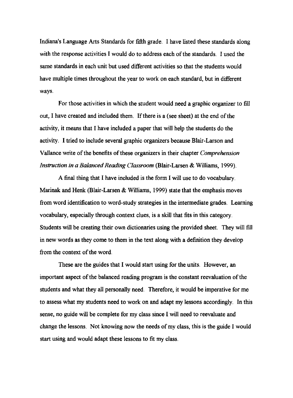Indiana's Language Arts Standards for fifth grade. I have listed these standards along with the response activities I would do to address each of the standards. I used the same standards in each unit but used different activities so that the students would have multiple times throughout the year to work on each standard, but in different ways.

For those activities in which the student would need a graphic organizer to fill out, I have created and included them. If there is a (see sheet) at the end of the activity, it means that I have included a paper that will help the students do the activity. I tried to include several graphic organizers because Blair-Larson and Vallance write of the benefits of these organizers in their chapter *Comprehension Instruction in a Balanced Reading Classroom* (Blair-Larsen & Williams, 1999).

A final thing that I have included is the form I will use to do vocabulary. Marinak and Henk (Blair-Larsen & Williams, 1999) state that the emphasis moves from word identification to word-study strategies in the intermediate grades. Learning vocabulary, especially through context clues, is a skill that fits in this category. Students will be creating their own dictionaries using the provided sheet. They will fill in new words as they come to them in the text along with a definition they develop from the context of the word.

These are the guides that I would start using for the units. However, an important aspect of the balanced reading program is the constant reevaluation of the students and what they all personally need. Therefore, it would be imperative for me to assess what my students need to work on and adapt my lessons accordingly. In this sense, no guide will be complete for my class since I will need to reevaluate and change the lessons. Not knowing now the needs of my class, this is the guide I would start using and would adapt these lessons to fit my class.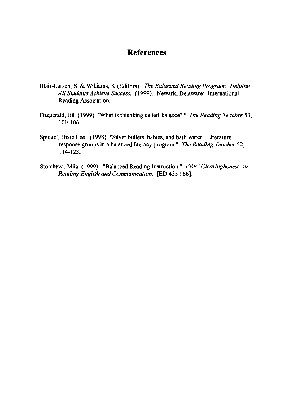#### **References**

- Blair-Larsen, S. & Williams, K (Editors). *The Balanced Reading Program: Helping All Students Achieve Success.* (1999). Newark, Delaware: International Reading Association.
- Fitzgerald, Jill. (1999). "What is this thing called 'balance?'" *The Reading Teacher 53,*  100-106.
- Spiegel, Dixie Lee. (1998). "Silver bullets, babies, and bath water: Literature response groups in a balanced literacy program." *The Reading Teacher 52,*  114-123.
- Stoicheva, Mila. (1999). "Balanced Reading Instruction." *ERIC Clearinghousse on Reading English and Communication.* **[ED** 435 986].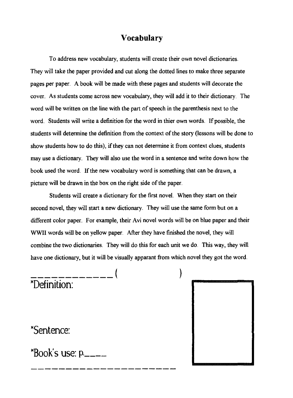#### **Vocabulary**

To address new vocabulary, students will create their own novel dictionaries. They will take the paper provided and cut along the dotted lines to make three separate pages per paper. A book will be made with these pages and students will decorate the cover. As students come across new vocabulary, they will add it to their dictionary. The word will be written on the line with the part of speech in the parenthesis next to the word. Students will write a definition for the word in thier own words. If possible, the students will determine the definition from the context of the story (lessons will be done to show students how to do this), if they can not determine it from context clues, students may use a dictionary. They will also use the word in a sentence and write down how the book used the word. If the new vocabulary word is something that can be drawn, a picture will be drawn in the box on the right side of the paper.

Students will create a dictionary for the first novel. When they start on their second novel, they will start a new dictionary. They will use the same form but on a different color paper. For example, their Avi novel words will be on blue paper and their WWII words will be on yellow paper. After they have finished the novel, they will combine the two dictionaries. They will do this for each unit we do. This way, they will have one dictionary, but it will be visually apparant from which novel they got the word.

## ------------( ) \*Definition:

\*Sentence:

 $k$ Book's use:  $p$ <sub>----</sub>

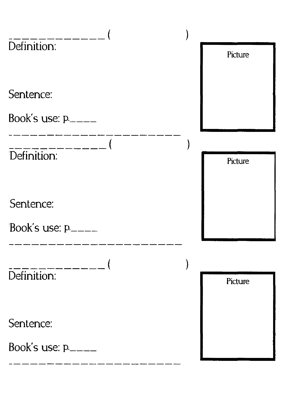| Definition:             | Picture |
|-------------------------|---------|
|                         |         |
| Sentence:               |         |
| Book's use: $p_{\perp}$ |         |
|                         |         |
| Definition:             | Picture |
|                         |         |
| Sentence:               |         |
| Book's use: p.____      |         |
|                         |         |
| Definition:             | Picture |
|                         |         |
| Sentence:               |         |
| Book's use: p.          |         |
|                         |         |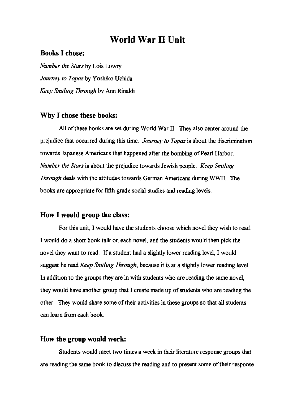### **World War II Unit**

#### **Books I chose:**

*Number the Stars* by Lois Lowry *Journey to Topaz* by Yoshiko Uchida *Keep Smiling Through* by Ann Rinaldi

#### **Why I chose these books:**

All of these books are set during World War **II.** They also center around the prejudice that occurred during this time. *Journey to Topaz* is about the discrimination towards Japanese Americans that happened after the bombing of Pearl Harbor. *Number the Stars* is about the prejudice towards Jewish people. *Keep Smiling Through* deals with the attitudes towards German Americans during WWII. The books are appropriate for fifth grade social studies and reading levels.

#### **How I would group the class:**

For this unit, I would have the students choose which novel they wish to read. I would do a short book talk on each novel, and the students would then pick the novel they want to read. If a student had a slightly lower reading level, I would suggest he read *Keep Smiling Through,* because it is at a slightly lower reading level. In addition to the groups they are in with students who are reading the same novel, they would have another group that I create made up of students who are reading the other. They would share some of their activities in these groups so that all students can learn from each book.

#### **How the group would work:**

Students would meet two times a week in their literature response groups that are reading the same book to discuss the reading and to present some of their response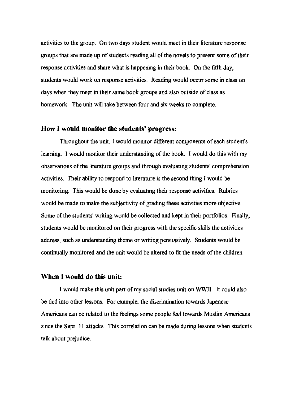activities to the group. On two days student would meet in their literature response groups that are made up of students reading all of the novels to present some of their response activities and share what is happening in their book. On the fifth day, students would work on response activities. Reading would occur some in class on days when they meet in their same book groups and also outside of class as homework. The unit will take between four and six weeks to complete.

#### **How I would monitor the students' progress:**

Throughout the unit, I would monitor different components of each student's learning. I would monitor their understanding of the book. I would do this with my observations of the literature groups and through evaluating students' comprehension activities. Their ability to respond to literature is the second thing I would be monitoring. This would be done by evaluating their response activities. Rubrics would be made to make the subjectivity of grading these activities more objective. Some of the students' writing would be collected and kept in their portfolios. Finally, students would be monitored on their progress with the specific skills the activities address, such as understanding theme or writing persuasively. Students would be continually monitored and the unit would be altered to fit the needs of the children.

#### **When I would do this unit:**

I would make this unit part of my social studies unit on WWII. It could also be tied into other lessons. For example, the discrimination towards Japanese Americans can be related to the feelings some people feel towards Muslim Americans since the Sept. 11 attacks. This correlation can be made during lessons when students talk about prejudice.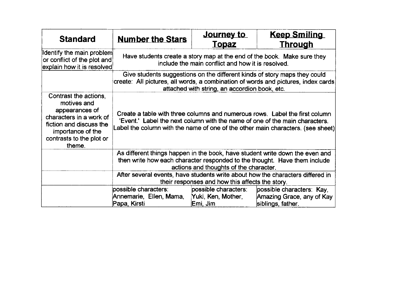| <b>Standard</b>                                                                                                                                                         | <b>Number the Stars</b>                                                                                                                                                                                                                       | <u>Journey to</u><br><u>Topaz</u>                                                                                                                                                                               | <b>Keep Smiling</b><br><b>Through</b> |  |  |  |  |  |  |  |  |  |
|-------------------------------------------------------------------------------------------------------------------------------------------------------------------------|-----------------------------------------------------------------------------------------------------------------------------------------------------------------------------------------------------------------------------------------------|-----------------------------------------------------------------------------------------------------------------------------------------------------------------------------------------------------------------|---------------------------------------|--|--|--|--|--|--|--|--|--|
| Identify the main problem<br>or conflict of the plot and<br>explain how it is resolved                                                                                  | Have students create a story map at the end of the book. Make sure they<br>include the main conflict and how it is resolved.                                                                                                                  |                                                                                                                                                                                                                 |                                       |  |  |  |  |  |  |  |  |  |
|                                                                                                                                                                         |                                                                                                                                                                                                                                               | Give students suggestions on the different kinds of story maps they could<br>create: All pictures, all words, a combination of words and pictures, index cards<br>attached with string, an accordion book, etc. |                                       |  |  |  |  |  |  |  |  |  |
| Contrast the actions,<br>motives and<br>appearances of<br>characters in a work of<br>fiction and discuss the<br>importance of the<br>contrasts to the plot or<br>theme. | Create a table with three columns and numerous rows. Label the first column<br>'Event.' Label the next column with the name of one of the main characters.<br>Label the column with the name of one of the other main characters. (see sheet) |                                                                                                                                                                                                                 |                                       |  |  |  |  |  |  |  |  |  |
|                                                                                                                                                                         | As different things happen in the book, have student write down the even and<br>then write how each character responded to the thought. Have them include<br>actions and thoughts of the character.                                           |                                                                                                                                                                                                                 |                                       |  |  |  |  |  |  |  |  |  |
|                                                                                                                                                                         | After several events, have students write about how the characters differed in<br>their responses and how this affects the story.                                                                                                             |                                                                                                                                                                                                                 |                                       |  |  |  |  |  |  |  |  |  |
|                                                                                                                                                                         | possible characters:<br>Annemarie, Ellen, Mama,<br>Papa, Kirsti                                                                                                                                                                               | possible characters:<br>possible characters: Kay,<br>Yuki, Ken, Mother,<br>Amazing Grace, any of Kay<br>Emi, Jim<br>siblings, father.                                                                           |                                       |  |  |  |  |  |  |  |  |  |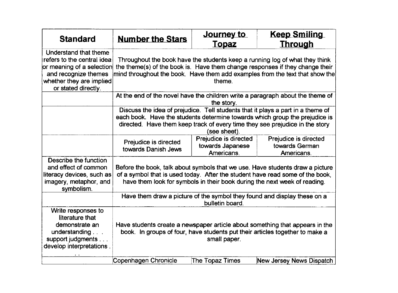| <b>Standard</b>                                                                                                                                             | <b>Number the Stars</b>                                                                                                                                                                                                                                        | <u>Journey to</u><br><b>Topaz</b>                       | <b>Keep Smiling</b><br><b>Through</b>                                    |  |  |  |  |  |  |  |  |
|-------------------------------------------------------------------------------------------------------------------------------------------------------------|----------------------------------------------------------------------------------------------------------------------------------------------------------------------------------------------------------------------------------------------------------------|---------------------------------------------------------|--------------------------------------------------------------------------|--|--|--|--|--|--|--|--|
| Understand that theme<br>refers to the central idea<br>or meaning of a selection<br>and recognize themes<br>whether they are implied<br>or stated directly. | Throughout the book have the students keep a running log of what they think<br>the theme(s) of the book is. Have them change responses if they change their<br>mind throughout the book. Have them add examples from the text that show the<br>theme.          |                                                         |                                                                          |  |  |  |  |  |  |  |  |
|                                                                                                                                                             | At the end of the novel have the children write a paragraph about the theme of<br>the story.                                                                                                                                                                   |                                                         |                                                                          |  |  |  |  |  |  |  |  |
|                                                                                                                                                             | Discuss the idea of prejudice. Tell students that it plays a part in a theme of<br>each book. Have the students determine towards which group the prejudice is<br>directed. Have them keep track of every time they see prejudice in the story<br>(see sheet). |                                                         |                                                                          |  |  |  |  |  |  |  |  |
|                                                                                                                                                             | Prejudice is directed<br>towards Danish Jews                                                                                                                                                                                                                   | Prejudice is directed<br>towards Japanese<br>Americans. | Prejudice is directed<br>towards German<br>Americans.                    |  |  |  |  |  |  |  |  |
| Describe the function<br>and effect of common<br>literacy devices, such as<br>imagery, metaphor, and<br>symbolism.                                          | Before the book, talk about symbols that we use. Have students draw a picture<br>of a symbol that is used today. After the student have read some of the book,<br>have them look for symbols in their book during the next week of reading.                    |                                                         |                                                                          |  |  |  |  |  |  |  |  |
|                                                                                                                                                             |                                                                                                                                                                                                                                                                | bulletin board.                                         | Have them draw a picture of the symbol they found and display these on a |  |  |  |  |  |  |  |  |
| Write responses to<br>literature that<br>demonstrate an<br>understanding $\ldots$<br>support judgments<br>develop interpretations.                          | Have students create a newspaper article about something that appears in the<br>book. In groups of four, have students put their articles together to make a<br>small paper.                                                                                   |                                                         |                                                                          |  |  |  |  |  |  |  |  |
|                                                                                                                                                             | Copenhagen Chronicle                                                                                                                                                                                                                                           | The Topaz Times                                         | New Jersey News Dispatch                                                 |  |  |  |  |  |  |  |  |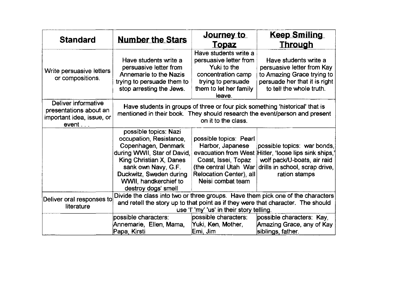| <b>Standard</b>                                                                     | <b>Number the Stars</b>                                                                                                                                                                                                             | <u>Journey to</u><br><b>Topaz</b>                                                                                                                                  | <b>Keep Smiling</b><br><u>Through</u>                                                                                                                               |  |  |  |  |
|-------------------------------------------------------------------------------------|-------------------------------------------------------------------------------------------------------------------------------------------------------------------------------------------------------------------------------------|--------------------------------------------------------------------------------------------------------------------------------------------------------------------|---------------------------------------------------------------------------------------------------------------------------------------------------------------------|--|--|--|--|
| Write persuasive letters<br>or compositions.                                        | Have students write a<br>persuasive letter from<br>Annemarie to the Nazis<br>trying to persuade them to<br>stop arresting the Jews.                                                                                                 | Have students write a<br>persuasive letter from<br>Yuki to the<br>concentration camp<br>trying to persuade<br>them to let her family<br>leave.                     | Have students write a<br>persuasive letter from Kay<br>to Amazing Grace trying to<br>persuade her that it is right<br>to tell the whole truth.                      |  |  |  |  |
| Deliver informative<br>presentations about an<br>important idea, issue, or<br>event |                                                                                                                                                                                                                                     | on it to the class.                                                                                                                                                | Have students in groups of three or four pick something 'historical' that is<br>mentioned in their book. They should research the event/person and present          |  |  |  |  |
|                                                                                     | possible topics: Nazi<br>occupation, Resistance,<br>Copenhagen, Denmark<br>during WWII, Star of David,<br>King Christian X, Danes<br>sank own Navy, G.F.<br>Duckwitz, Sweden during<br>WWII, handkerchief to<br>destroy dogs' smell | possible topics: Pearl<br>Harbor, Japanese<br>evacuation from West<br>Coast, Issei, Topaz<br>(the central Utah War<br>Relocation Center), all<br>Neisi combat team | possible topics: war bonds,<br>Hitler, 'loose lips sink ships,'<br>wolf pack/U-boats, air raid<br>drills in school, scrap drive,<br>ration stamps                   |  |  |  |  |
| Deliver oral responses to<br>literature                                             |                                                                                                                                                                                                                                     | use 'I' 'my' 'us' in their story telling.                                                                                                                          | Divide the class into two or three groups. Have them pick one of the characters<br>and retell the story up to that point as if they were that character. The should |  |  |  |  |
|                                                                                     | possible characters:<br>Annemarie, Ellen, Mama,<br>Papa, Kirsti                                                                                                                                                                     | possible characters:<br>Yuki, Ken, Mother,<br> Emi, Jim                                                                                                            | possible characters: Kay,<br>Amazing Grace, any of Kay<br>siblings, father.                                                                                         |  |  |  |  |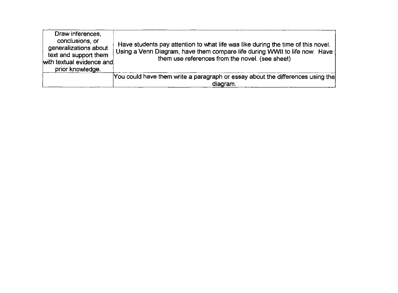| Draw inferences,<br>conclusions, or<br>generalizations about<br>text and support them<br>with textual evidence and<br>prior knowledge. | Have students pay attention to what life was like during the time of this novel.<br>Using a Venn Diagram, have them compare life during WWII to life now. Have<br>them use references from the novel. (see sheet) |
|----------------------------------------------------------------------------------------------------------------------------------------|-------------------------------------------------------------------------------------------------------------------------------------------------------------------------------------------------------------------|
|                                                                                                                                        | You could have them write a paragraph or essay about the differences using the<br>diagram.                                                                                                                        |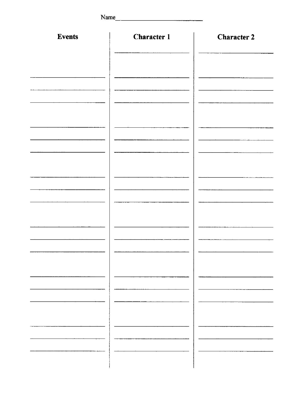| Name          | <u> 1980 - Jan Barbara Barbara, maso a</u> |                    |
|---------------|--------------------------------------------|--------------------|
| <b>Events</b> | <b>Character 1</b>                         | <b>Character 2</b> |
|               |                                            |                    |
|               |                                            |                    |
|               |                                            |                    |
|               |                                            |                    |
|               |                                            |                    |
|               |                                            |                    |
|               |                                            |                    |
|               |                                            |                    |
|               |                                            |                    |
|               |                                            |                    |
|               |                                            |                    |
|               |                                            |                    |
|               |                                            |                    |
|               |                                            |                    |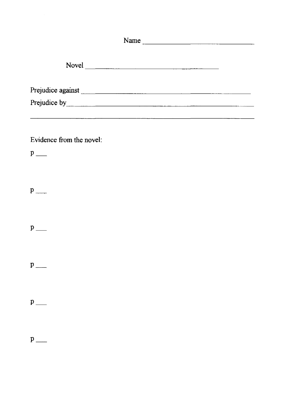| Name                                                                                                                                                                                                                                 |  |
|--------------------------------------------------------------------------------------------------------------------------------------------------------------------------------------------------------------------------------------|--|
| Novel                                                                                                                                                                                                                                |  |
| Prejudice against expression of the contract of the contract of the contract of the contract of the contract of the contract of the contract of the contract of the contract of the contract of the contract of the contract o       |  |
| Prejudice by <u>Electrician and the set of the set of the set of the set of the set of the set of the set of the set of the set of the set of the set of the set of the set of the set of the set of the set of the set of the s</u> |  |
|                                                                                                                                                                                                                                      |  |
| Evidence from the novel:                                                                                                                                                                                                             |  |
| $p$ <sub>---</sub>                                                                                                                                                                                                                   |  |
|                                                                                                                                                                                                                                      |  |
| $p$ <sub>---</sub>                                                                                                                                                                                                                   |  |
|                                                                                                                                                                                                                                      |  |
|                                                                                                                                                                                                                                      |  |
| $p$ <sub>---</sub>                                                                                                                                                                                                                   |  |
|                                                                                                                                                                                                                                      |  |
| $p$ <sub>---</sub>                                                                                                                                                                                                                   |  |
|                                                                                                                                                                                                                                      |  |
|                                                                                                                                                                                                                                      |  |
|                                                                                                                                                                                                                                      |  |
|                                                                                                                                                                                                                                      |  |
| $p$ <sub>---</sub>                                                                                                                                                                                                                   |  |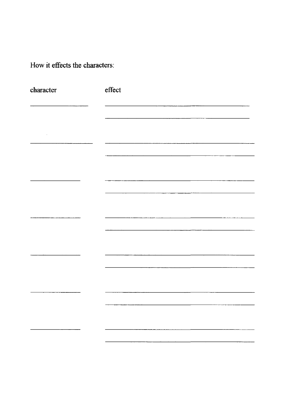How **it** effects the characters:

| character | effect |
|-----------|--------|
|           |        |
|           |        |
|           |        |
|           |        |
|           |        |
|           |        |
|           |        |
|           |        |
|           |        |
|           |        |
|           |        |
|           |        |
|           |        |
|           |        |
|           |        |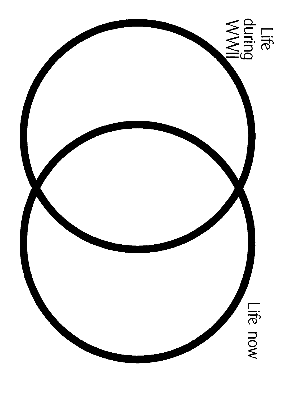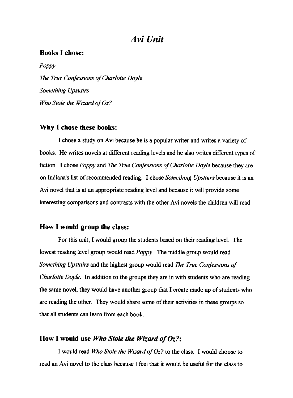#### *Avi Unit*

#### **Books I chose:**

*Poppy*  **The True Confessions of Charlotte Doyle** *Something Upstairs Who Stole the Wizard ofOz?* 

#### **Why I chose these books:**

I chose a study on Avi because he is a popular writer and writes a variety of books. He writes novels at different reading levels and he also writes different types of fiction. I chose *Poppy* and *The True Confessions of Charlotte Doyle* because they are on Indiana's list of recommended reading. I chose *Something Upstairs* because it is an A vi novel that is at an appropriate reading level and because it will provide some interesting comparisons and contrasts with the other A vi novels the children will read.

#### **How I would group the class:**

For this unit, I would group the students based on their reading level. The lowest reading level group would read *Poppy.* The middle group would read *Something Upstairs* and the highest group would read *The True Confessions of Charlotte Doyle.* In addition to the groups they are in with students who are reading the same novel, they would have another group that I create made up of students who are reading the other. They would share some of their activities in these groups so that all students can learn from each book.

#### **How I would use** *Who Stole the Wizard of Oz?:*

I would read *Who Stole the Wizard of Oz?* to the class. I would choose to read an A vi novel to the class because I feel that it would be useful for the class to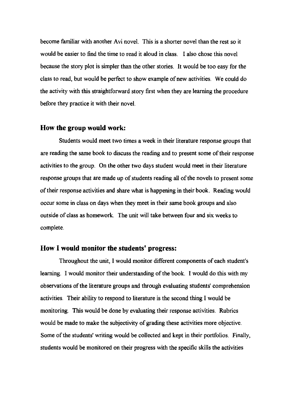become familiar with another Avi novel. This is a shorter novel than the rest so it would be easier to find the time to read it aloud in class. I also chose this novel because the story plot is simpler than the other stories. It would be too easy for the class to read, but would be perfect to show example of new activities. We could do the activity with this straightforward story first when they are learning the procedure before they practice it with their novel.

#### **How the group would work:**

Students would meet two times a week in their literature response groups that are reading the same book to discuss the reading and to present some of their response activities to the group. On the other two days student would meet in their literature response groups that are made up of students reading all of the novels to present some of their response activities and share what is happening in their book. Reading would occur some in class on days when they meet in their same book groups and also outside of class as homework. The unit will take between four and six weeks to complete.

#### **How I would monitor the students' progress:**

Throughout the unit, I would monitor different components of each student's learning. I would monitor their understanding of the book. I would do this with my observations of the literature groups and through evaluating students' comprehension activities. Their ability to respond to literature is the second thing I would be monitoring. This would be done by evaluating their response activities. Rubrics would be made to make the subjectivity of grading these activities more objective. Some of the students' writing would be collected and kept in their portfolios. Finally, students would be monitored on their progress with the specific skills the activities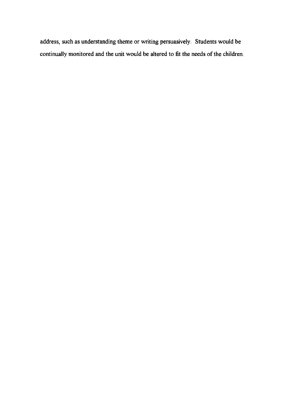address, such as understanding theme or writing persuasively. Students would be continually monitored and the unit would be altered to fit the needs of the children.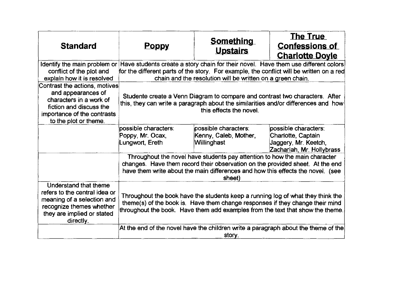| <b>Standard</b>                                                                                                                                                   | <b>Poppy</b>                                                                                                                                                                                                                                                              | <b>Something</b><br><b>Upstairs</b>                                                                                                                                                                                                                | <b>The True</b><br><b>Confessions of</b><br><b>Charlotte Doyle</b>                              |  |  |  |  |  |  |  |
|-------------------------------------------------------------------------------------------------------------------------------------------------------------------|---------------------------------------------------------------------------------------------------------------------------------------------------------------------------------------------------------------------------------------------------------------------------|----------------------------------------------------------------------------------------------------------------------------------------------------------------------------------------------------------------------------------------------------|-------------------------------------------------------------------------------------------------|--|--|--|--|--|--|--|
| conflict of the plot and<br>explain how it is resolved                                                                                                            | Identify the main problem or Have students create a story chain for their novel. Have them use different colors<br>for the different parts of the story. For example, the conflict will be written on a red<br>chain and the resolution will be written on a green chain. |                                                                                                                                                                                                                                                    |                                                                                                 |  |  |  |  |  |  |  |
| Contrast the actions, motives<br>and appearances of<br>characters in a work of<br>fiction and discuss the<br>importance of the contrasts<br>to the plot or theme. | Studente create a Venn Diagram to compare and contrast two characters. After<br>this, they can write a paragraph about the similarities and/or differences and how<br>this effects the novel.                                                                             |                                                                                                                                                                                                                                                    |                                                                                                 |  |  |  |  |  |  |  |
|                                                                                                                                                                   | possible characters:<br>Poppy, Mr. Ocax,<br>Lungwort, Ereth                                                                                                                                                                                                               | possible characters:<br>Kenny, Caleb, Mother,<br>Willinghast                                                                                                                                                                                       | possible characters:<br>Charlotte, Captain<br>Jaggery, Mr. Keetch,<br>Zachariah, Mr. Hollybrass |  |  |  |  |  |  |  |
|                                                                                                                                                                   | Throughout the novel have students pay attention to how the main character<br>changes. Have them record their observation on the provided sheet. At the end<br>have them write about the main differences and how this effects the novel. (see<br>sheet)                  |                                                                                                                                                                                                                                                    |                                                                                                 |  |  |  |  |  |  |  |
| Understand that theme<br>refers to the central idea or<br>meaning of a selection and<br>recognize themes whether<br>they are implied or stated<br>directly.       |                                                                                                                                                                                                                                                                           | Throughout the book have the students keep a running log of what they think the<br>theme(s) of the book is. Have them change responses if they change their mind<br>throughout the book. Have them add examples from the text that show the theme. |                                                                                                 |  |  |  |  |  |  |  |
|                                                                                                                                                                   |                                                                                                                                                                                                                                                                           | story.                                                                                                                                                                                                                                             | At the end of the novel have the children write a paragraph about the theme of the              |  |  |  |  |  |  |  |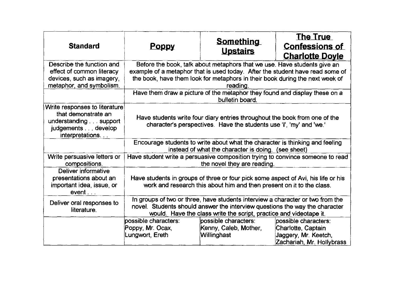| <b>Standard</b>                                                                                                        | <b>Poppy</b>                                                                                                                                                                                                                                          | <b>Something</b><br><b>Upstairs</b>                                                                                                                                                                                                 | <b>The True</b><br><b>Confessions of</b><br><b>Charlotte Doyle</b> |  |  |  |  |  |  |  |
|------------------------------------------------------------------------------------------------------------------------|-------------------------------------------------------------------------------------------------------------------------------------------------------------------------------------------------------------------------------------------------------|-------------------------------------------------------------------------------------------------------------------------------------------------------------------------------------------------------------------------------------|--------------------------------------------------------------------|--|--|--|--|--|--|--|
| Describe the function and<br>effect of common literacy<br>devices, such as imagery,<br>metaphor, and symbolism.        | Before the book, talk about metaphors that we use. Have students give an<br>example of a metaphor that is used today. After the student have read some of<br>the book, have them look for metaphors in their book during the next week of<br>reading. |                                                                                                                                                                                                                                     |                                                                    |  |  |  |  |  |  |  |
|                                                                                                                        | Have them draw a picture of the metaphor they found and display these on a<br>bulletin board.                                                                                                                                                         |                                                                                                                                                                                                                                     |                                                                    |  |  |  |  |  |  |  |
| Write responses to literature<br>that demonstrate an<br>understanding support<br>judgements develop<br>interpretations | Have students write four diary entries throughout the book from one of the<br>character's perspectives. Have the students use 'I', 'my' and 'we.'                                                                                                     |                                                                                                                                                                                                                                     |                                                                    |  |  |  |  |  |  |  |
|                                                                                                                        |                                                                                                                                                                                                                                                       | Encourage students to write about what the character is thinking and feeling<br>instead of what the character is doing. (see sheet)                                                                                                 |                                                                    |  |  |  |  |  |  |  |
| Write persuasive letters or<br>compositions.                                                                           |                                                                                                                                                                                                                                                       | Have student write a persuasive composition trying to convince someone to read<br>the novel they are reading.                                                                                                                       |                                                                    |  |  |  |  |  |  |  |
| Deliver informative<br>presentations about an<br>important idea, issue, or<br>event                                    |                                                                                                                                                                                                                                                       | Have students in groups of three or four pick some aspect of Avi, his life or his<br>work and research this about him and then present on it to the class.                                                                          |                                                                    |  |  |  |  |  |  |  |
| Deliver oral responses to<br>literature.                                                                               |                                                                                                                                                                                                                                                       | In groups of two or three, have students interview a character or two from the<br>novel. Students should answer the interview questions the way the character<br>would. Have the class write the script, practice and videotape it. |                                                                    |  |  |  |  |  |  |  |
|                                                                                                                        | possible characters:<br>possible characters:<br>possible characters:<br>Poppy, Mr. Ocax,<br>Kenny, Caleb, Mother,<br>Charlotte, Captain<br>Jaggery, Mr. Keetch,<br>Lungwort, Ereth<br>Willinghast<br>Zachariah, Mr. Hollybrass                        |                                                                                                                                                                                                                                     |                                                                    |  |  |  |  |  |  |  |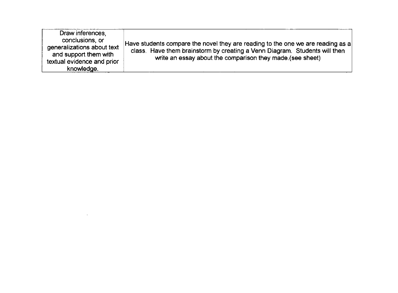| Draw inferences,<br>conclusions, or<br>generalizations about text<br>and support them with<br>textual evidence and prior<br>knowledge. | Have students compare the novel they are reading to the one we are reading as a<br>class. Have them brainstorm by creating a Venn Diagram. Students will then<br>write an essay about the comparison they made. (see sheet) |
|----------------------------------------------------------------------------------------------------------------------------------------|-----------------------------------------------------------------------------------------------------------------------------------------------------------------------------------------------------------------------------|
|----------------------------------------------------------------------------------------------------------------------------------------|-----------------------------------------------------------------------------------------------------------------------------------------------------------------------------------------------------------------------------|

 $\label{eq:2.1} \frac{1}{\sqrt{2}}\left(\frac{1}{\sqrt{2}}\right)^{2} \left(\frac{1}{\sqrt{2}}\right)^{2} \left(\frac{1}{\sqrt{2}}\right)^{2} \left(\frac{1}{\sqrt{2}}\right)^{2} \left(\frac{1}{\sqrt{2}}\right)^{2} \left(\frac{1}{\sqrt{2}}\right)^{2} \left(\frac{1}{\sqrt{2}}\right)^{2} \left(\frac{1}{\sqrt{2}}\right)^{2} \left(\frac{1}{\sqrt{2}}\right)^{2} \left(\frac{1}{\sqrt{2}}\right)^{2} \left(\frac{1}{\sqrt{2}}\right)^{2} \left(\$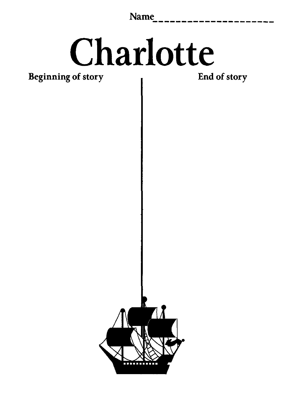Name

## Charlotte

Beginning of story

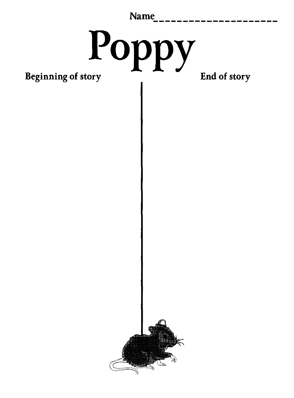| <b>Name</b> |  |  |  |  |  |  |  |  |  |  |  |
|-------------|--|--|--|--|--|--|--|--|--|--|--|
|             |  |  |  |  |  |  |  |  |  |  |  |
|             |  |  |  |  |  |  |  |  |  |  |  |
|             |  |  |  |  |  |  |  |  |  |  |  |

# Beginning of story Beginning of story

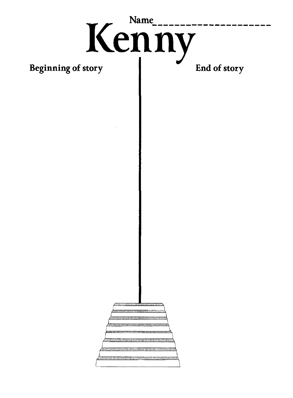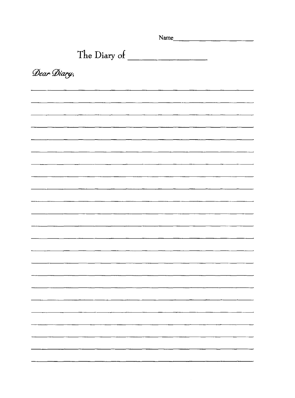|             | Name         |  |  |
|-------------|--------------|--|--|
|             | The Diary of |  |  |
| Dear Diary, |              |  |  |
|             |              |  |  |
|             |              |  |  |
|             |              |  |  |
|             |              |  |  |
|             |              |  |  |
|             |              |  |  |
|             |              |  |  |
|             |              |  |  |
|             |              |  |  |
|             |              |  |  |
|             |              |  |  |
|             |              |  |  |
|             |              |  |  |
|             |              |  |  |
|             |              |  |  |
|             |              |  |  |
|             |              |  |  |
|             |              |  |  |

 $\label{eq:2} \frac{1}{\sqrt{2}}\left(\frac{1}{\sqrt{2}}\right)^{2} \left(\frac{1}{\sqrt{2}}\right)^{2}$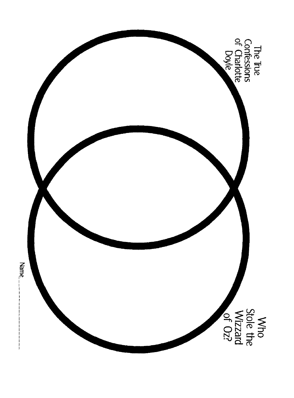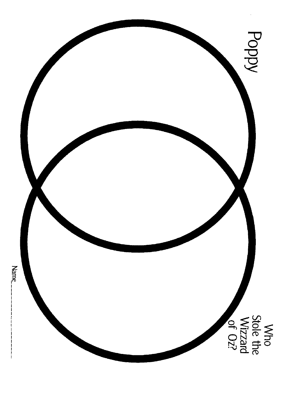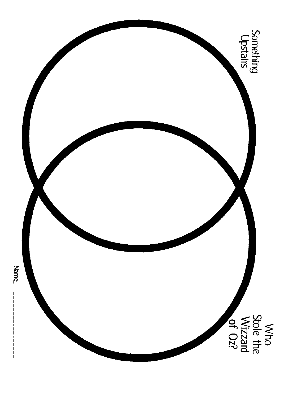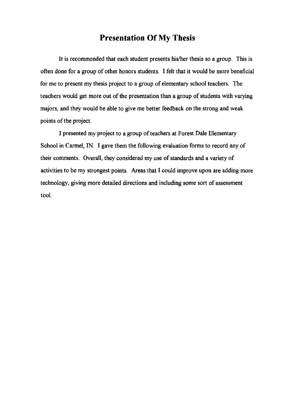#### **Presentation Of My Thesis**

It is recommended that each student presents his/her thesis so a group. This is often done for a group of other honors students. I felt that it would be more beneficial for me to present my thesis project to a group of elementary school teachers. The teachers would get more out of the presentation than a group of students with varying majors, and they would be able to give me better feedback on the strong and weak points of the project.

I presented my project to a group of teachers at Forest Dale Elementary School in Carmel, IN. I gave them the following evaluation forms to record any of their comments. Overall, they considered my use of standards and a variety of activities to be my strongest points. Areas that I could improve upon are adding more technology, giving more detailed directions and including some sort of assessment tool.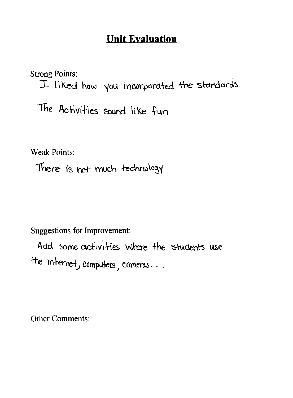**Strong Points:** I liked how you incorporated the standards The Activities sound like fun

**Weak Points:** 

There is not much technology

**Suggestions for Improvement:** 

Add some activities where the students use the internet, computers, comeras...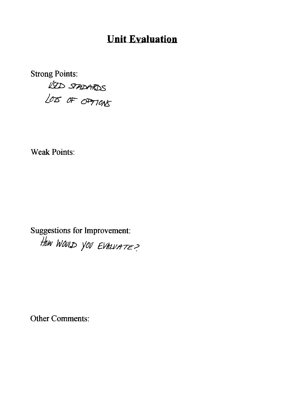**Strong Points:** USED STADARDS

**Weak Points:** 

**Suggestions for Improvement:** HOW WOULD YOU EVALUATE?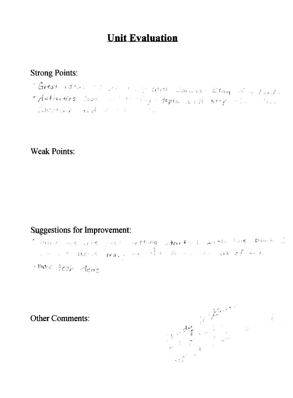## **Strong Points:**

- Moreat ideas on you allow was shown a clay of a lardy
- Activities look and the thy-tepla will keep the some Robertsman and the momentary

**Weak Points:** 

## **Suggestions for Improvement:**

- This me we will past reflease starts I with the bank is we have the there may need the morning of a self-
- more tech ideas